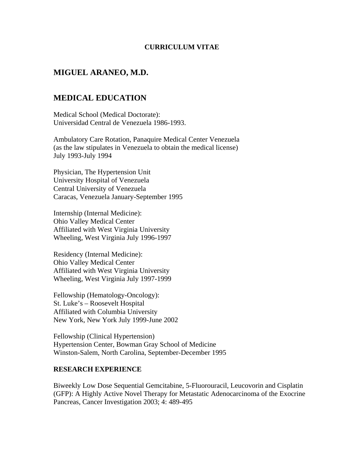#### **CURRICULUM VITAE**

# **MIGUEL ARANEO, M.D.**

# **MEDICAL EDUCATION**

Medical School (Medical Doctorate): Universidad Central de Venezuela 1986-1993.

Ambulatory Care Rotation, Panaquire Medical Center Venezuela (as the law stipulates in Venezuela to obtain the medical license) July 1993-July 1994

Physician, The Hypertension Unit University Hospital of Venezuela Central University of Venezuela Caracas, Venezuela January-September 1995

Internship (Internal Medicine): Ohio Valley Medical Center Affiliated with West Virginia University Wheeling, West Virginia July 1996-1997

Residency (Internal Medicine): Ohio Valley Medical Center Affiliated with West Virginia University Wheeling, West Virginia July 1997-1999

Fellowship (Hematology-Oncology): St. Luke's – Roosevelt Hospital Affiliated with Columbia University New York, New York July 1999-June 2002

Fellowship (Clinical Hypertension) Hypertension Center, Bowman Gray School of Medicine Winston-Salem, North Carolina, September-December 1995

#### **RESEARCH EXPERIENCE**

Biweekly Low Dose Sequential Gemcitabine, 5-Fluorouracil, Leucovorin and Cisplatin (GFP): A Highly Active Novel Therapy for Metastatic Adenocarcinoma of the Exocrine Pancreas, Cancer Investigation 2003; 4: 489-495